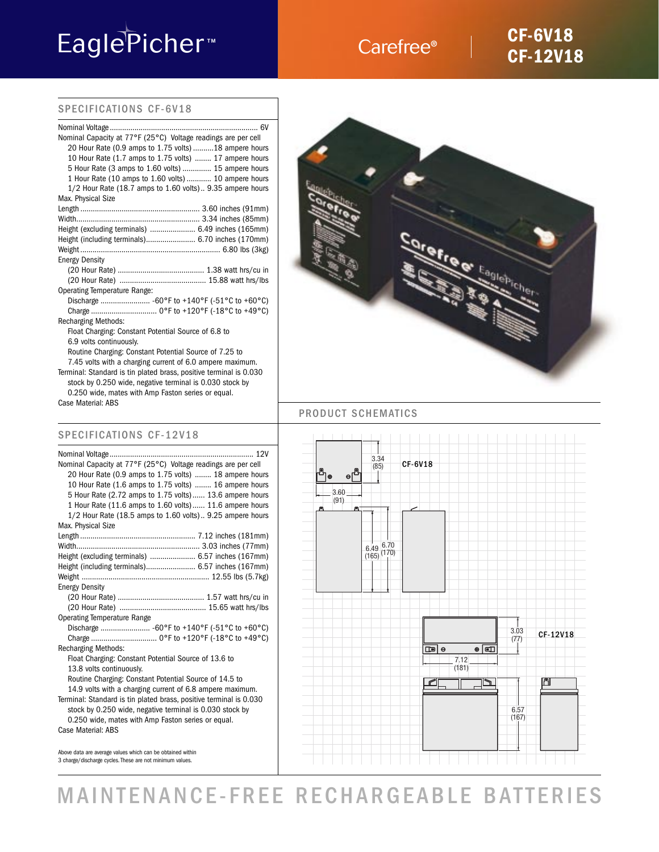# EaglePicher<sup>™</sup>

### Carefree<sup>®</sup>

### **CF-6V18 CF-12V18**

### SPECIFICATIONS CF-6V18

| Nominal Capacity at 77°F (25°C) Voltage readings are per cell      |
|--------------------------------------------------------------------|
| 20 Hour Rate (0.9 amps to 1.75 volts) 18 ampere hours              |
| 10 Hour Rate (1.7 amps to 1.75 volts)  17 ampere hours             |
| 5 Hour Rate (3 amps to 1.60 volts)  15 ampere hours                |
| 1 Hour Rate (10 amps to 1.60 volts) 10 ampere hours                |
| 1/2 Hour Rate (18.7 amps to 1.60 volts) 9.35 ampere hours          |
| Max. Physical Size                                                 |
|                                                                    |
|                                                                    |
| Height (excluding terminals)  6.49 inches (165mm)                  |
| Height (including terminals) 6.70 inches (170mm)                   |
|                                                                    |
| <b>Energy Density</b>                                              |
|                                                                    |
|                                                                    |
| <b>Operating Temperature Range:</b>                                |
| Discharge  -60°F to +140°F (-51°C to +60°C)                        |
|                                                                    |
| <b>Recharging Methods:</b>                                         |
| Float Charging: Constant Potential Source of 6.8 to                |
| 6.9 volts continuously.                                            |
| Routine Charging: Constant Potential Source of 7.25 to             |
| 7.45 volts with a charging current of 6.0 ampere maximum.          |
| Terminal: Standard is tin plated brass, positive terminal is 0.030 |
| stock by 0.250 wide, negative terminal is 0.030 stock by           |

0.250 wide, mates with Amp Faston series or equal. Case Material: ABS

### SPECIFICATIONS CF-12V18

| Nominal Capacity at 77°F (25°C) Voltage readings are per cell      |
|--------------------------------------------------------------------|
| 20 Hour Rate (0.9 amps to 1.75 volts)  18 ampere hours             |
| 10 Hour Rate (1.6 amps to 1.75 volts)  16 ampere hours             |
| 5 Hour Rate (2.72 amps to 1.75 volts) 13.6 ampere hours            |
| 1 Hour Rate (11.6 amps to 1.60 volts) 11.6 ampere hours            |
| 1/2 Hour Rate (18.5 amps to 1.60 volts) 9.25 ampere hours          |
| Max. Physical Size                                                 |
|                                                                    |
|                                                                    |
| Height (excluding terminals)  6.57 inches (167mm)                  |
| Height (including terminals) 6.57 inches (167mm)                   |
|                                                                    |
| <b>Energy Density</b>                                              |
|                                                                    |
|                                                                    |
|                                                                    |
| <b>Operating Temperature Range</b>                                 |
| Discharge  -60°F to +140°F (-51°C to +60°C)                        |
|                                                                    |
| <b>Recharging Methods:</b>                                         |
| Float Charging: Constant Potential Source of 13.6 to               |
| 13.8 volts continuously.                                           |
| Routine Charging: Constant Potential Source of 14.5 to             |
| 14.9 volts with a charging current of 6.8 ampere maximum.          |
| Terminal: Standard is tin plated brass, positive terminal is 0.030 |
| stock by 0.250 wide, negative terminal is 0.030 stock by           |
| 0.250 wide, mates with Amp Faston series or equal.                 |



### PRODUCT SCHEMATICS



Above data are average values which can be obtained within 3 charge/discharge cycles. These are not minimum values.

## MAINTENANCE-FREE RECHARGEABLE BATTERIES